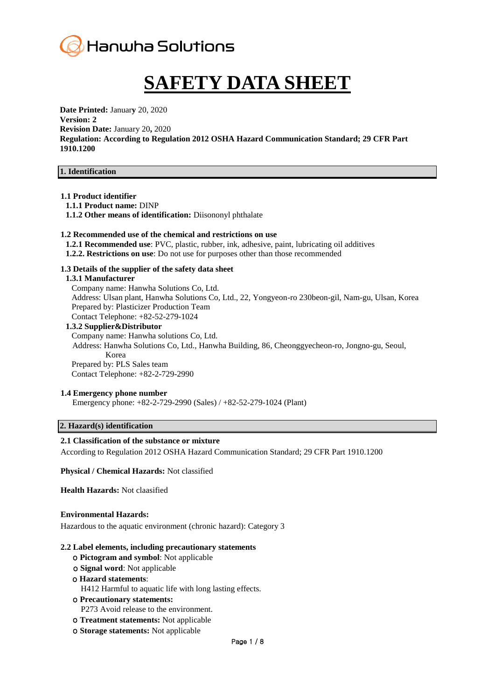

# **SAFETY DATA SHEET**

**Date Printed:** Januar**y** 20, 2020 **Version: 2 Revision Date:** January 20**,** 2020 **Regulation: According to Regulation 2012 OSHA Hazard Communication Standard; 29 CFR Part 1910.1200**

#### **1. Identification**

#### **1.1 Product identifier**

- **1.1.1 Product name:** DINP
- **1.1.2 Other means of identification:** Diisononyl phthalate

#### **1.2 Recommended use of the chemical and restrictions on use**

- **1.2.1 Recommended use**: PVC, plastic, rubber, ink, adhesive, paint, lubricating oil additives
- **1.2.2. Restrictions on use**: Do not use for purposes other than those recommended

#### **1.3 Details of the supplier of the safety data sheet**

#### **1.3.1 Manufacturer**

Company name: Hanwha Solutions Co, Ltd. Address: Ulsan plant, Hanwha Solutions Co, Ltd., 22, Yongyeon-ro 230beon-gil, Nam-gu, Ulsan, Korea Prepared by: Plasticizer Production Team Contact Telephone: +82-52-279-1024

#### **1.3.2 Supplier&Distributor**

Company name: Hanwha solutions Co, Ltd. Address: Hanwha Solutions Co, Ltd., Hanwha Building, 86, Cheonggyecheon-ro, Jongno-gu, Seoul, Korea Prepared by: PLS Sales team Contact Telephone: +82-2-729-2990

#### **1.4 Emergency phone number**

Emergency phone: +82-2-729-2990 (Sales) / +82-52-279-1024 (Plant)

## **2. Hazard(s) identification**

#### **2.1 Classification of the substance or mixture**

According to Regulation 2012 OSHA Hazard Communication Standard; 29 CFR Part 1910.1200

**Physical / Chemical Hazards:** Not classified

**Health Hazards:** Not claasified

#### **Environmental Hazards:**

Hazardous to the aquatic environment (chronic hazard): Category 3

#### **2.2 Label elements, including precautionary statements**

- ο **Pictogram and symbol**: Not applicable
- ο **Signal word**: Not applicable

#### ο **Hazard statements**:

- H412 Harmful to aquatic life with long lasting effects.
- ο **Precautionary statements:** P273 Avoid release to the environment.
- ο **Treatment statements:** Not applicable
- ο **Storage statements:** Not applicable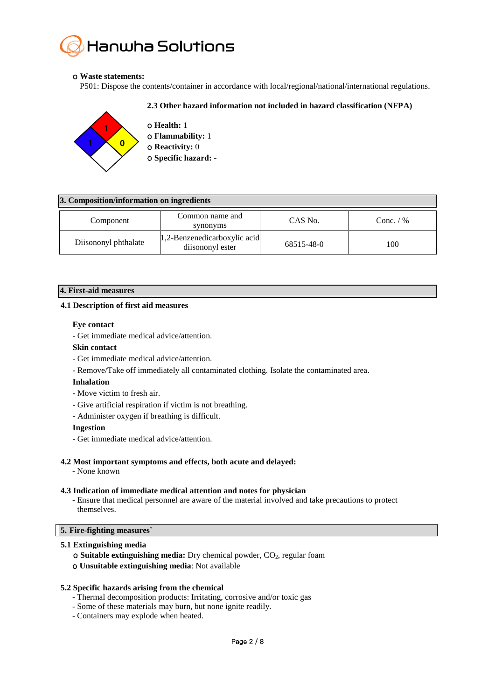# Hanwha Solutions

# ο **Waste statements:**

P501: Dispose the contents/container in accordance with local/regional/national/international regulations.

# **2.3 Other hazard information not included in hazard classification (NFPA)**



ο **Health:** 1 ο **Flammability:** 1 ο **Reactivity:** 0

ο **Specific hazard:** -

| 3. Composition/information on ingredients |                      |                                                      |            |             |  |  |
|-------------------------------------------|----------------------|------------------------------------------------------|------------|-------------|--|--|
|                                           | Component            | Common name and<br>synonyms                          | CAS No.    | Conc. $/$ % |  |  |
|                                           | Diisononyl phthalate | $ 1,2$ -Benzenedicarboxylic acid<br>diisononyl ester | 68515-48-0 | 100         |  |  |

# **4. First-aid measures**

# **4.1 Description of first aid measures**

# **Eye contact**

- Get immediate medical advice/attention.

# **Skin contact**

- Get immediate medical advice/attention.
- Remove/Take off immediately all contaminated clothing. Isolate the contaminated area.

# **Inhalation**

- Move victim to fresh air.
- Give artificial respiration if victim is not breathing.
- Administer oxygen if breathing is difficult.

#### **Ingestion**

- Get immediate medical advice/attention.

# **4.2 Most important symptoms and effects, both acute and delayed:**

- None known

# **4.3 Indication of immediate medical attention and notes for physician**

- Ensure that medical personnel are aware of the material involved and take precautions to protect themselves.

#### **5. Fire-fighting measures`**

# **5.1 Extinguishing media**

**ο Suitable extinguishing media:** Dry chemical powder, CO<sub>2</sub>, regular foam ο **Unsuitable extinguishing media**: Not available

# **5.2 Specific hazards arising from the chemical**

- Thermal decomposition products: Irritating, corrosive and/or toxic gas
- Some of these materials may burn, but none ignite readily.
- Containers may explode when heated.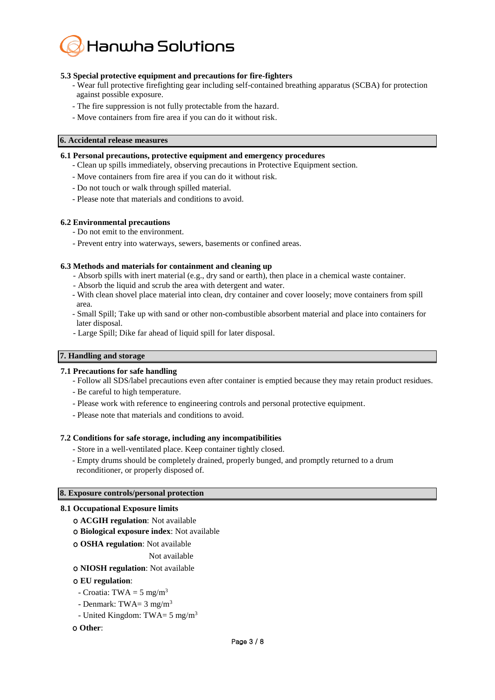

# **5.3 Special protective equipment and precautions for fire-fighters**

- Wear full protective firefighting gear including self-contained breathing apparatus (SCBA) for protection against possible exposure.
- The fire suppression is not fully protectable from the hazard.
- Move containers from fire area if you can do it without risk.

# **6. Accidental release measures**

#### **6.1 Personal precautions, protective equipment and emergency procedures**

- Clean up spills immediately, observing precautions in Protective Equipment section.
- Move containers from fire area if you can do it without risk.
- Do not touch or walk through spilled material.
- Please note that materials and conditions to avoid.

#### **6.2 Environmental precautions**

- Do not emit to the environment.
- Prevent entry into waterways, sewers, basements or confined areas.

#### **6.3 Methods and materials for containment and cleaning up**

- Absorb spills with inert material (e.g., dry sand or earth), then place in a chemical waste container.
- Absorb the liquid and scrub the area with detergent and water.
- With clean shovel place material into clean, dry container and cover loosely; move containers from spill area.
- Small Spill; Take up with sand or other non-combustible absorbent material and place into containers for later disposal.
- Large Spill; Dike far ahead of liquid spill for later disposal.

# **7. Handling and storage**

# **7.1 Precautions for safe handling**

- Follow all SDS/label precautions even after container is emptied because they may retain product residues.
- Be careful to high temperature.
- Please work with reference to engineering controls and personal protective equipment.
- Please note that materials and conditions to avoid.

# **7.2 Conditions for safe storage, including any incompatibilities**

- Store in a well-ventilated place. Keep container tightly closed.
- Empty drums should be completely drained, properly bunged, and promptly returned to a drum reconditioner, or properly disposed of.

#### **8. Exposure controls/personal protection**

#### **8.1 Occupational Exposure limits**

- ο **ACGIH regulation**: Not available
- ο **Biological exposure index**: Not available
- ο **OSHA regulation**: Not available

Not available

ο **NIOSH regulation**: Not available

# ο **EU regulation**:

- Croatia: TWA =  $5 \text{ mg/m}^3$
- Denmark: TWA=  $3 \text{ mg/m}^3$
- United Kingdom: TWA=  $5 \text{ mg/m}^3$

# ο **Other**: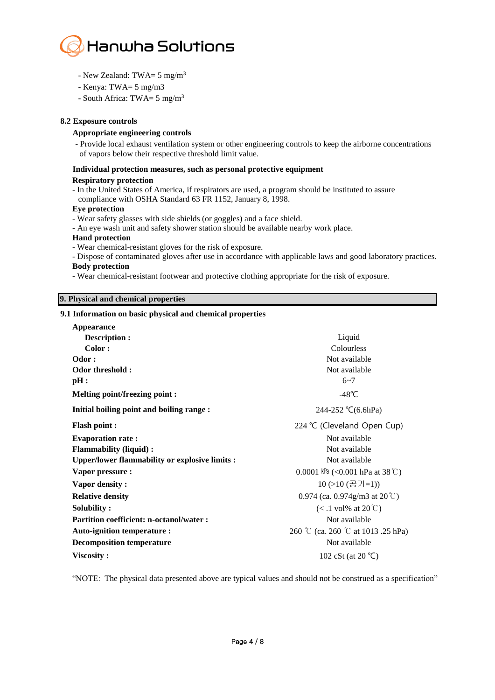

- New Zealand: TWA=  $5 \text{ mg/m}^3$
- Kenya: TWA= 5 mg/m3
- South Africa: TWA= 5 mg/m<sup>3</sup>

# **8.2 Exposure controls**

# **Appropriate engineering controls**

- Provide local exhaust ventilation system or other engineering controls to keep the airborne concentrations of vapors below their respective threshold limit value.

# **Individual protection measures, such as personal protective equipment**

#### **Respiratory protection**

- In the United States of America, if respirators are used, a program should be instituted to assure compliance with OSHA Standard 63 FR 1152, January 8, 1998.

# **Eye protection**

- Wear safety glasses with side shields (or goggles) and a face shield.
- An eye wash unit and safety shower station should be available nearby work place.

#### **Hand protection**

- Wear chemical-resistant gloves for the risk of exposure.
- Dispose of contaminated gloves after use in accordance with applicable laws and good laboratory practices. **Body protection**
- Wear chemical-resistant footwear and protective clothing appropriate for the risk of exposure.

# **9. Physical and chemical properties**

# **9.1 Information on basic physical and chemical properties**

| Appearance                                           |                                         |  |  |
|------------------------------------------------------|-----------------------------------------|--|--|
| Description :                                        | Liquid                                  |  |  |
| Color:                                               | Colourless                              |  |  |
| Odor:                                                | Not available                           |  |  |
| Odor threshold :                                     | Not available                           |  |  |
| pH:                                                  | $6 - 7$                                 |  |  |
| <b>Melting point/freezing point:</b>                 | $-48^{\circ}$ C                         |  |  |
| Initial boiling point and boiling range :            | $244 - 252$ °C(6.6hPa)                  |  |  |
| <b>Flash point:</b>                                  | 224 °C (Cleveland Open Cup)             |  |  |
| <b>Evaporation rate:</b>                             | Not available                           |  |  |
| <b>Flammability (liquid):</b>                        | Not available                           |  |  |
| <b>Upper/lower flammability or explosive limits:</b> | Not available                           |  |  |
| Vapor pressure :                                     | 0.0001 kPa (<0.001 hPa at 38 °C)        |  |  |
| Vapor density:                                       | $10(>10 (공7=1))$                        |  |  |
| <b>Relative density</b>                              | 0.974 (ca. 0.974g/m3 at $20^{\circ}$ C) |  |  |
| Solubility:                                          | $(<.1$ vol% at 20°C)                    |  |  |
| Partition coefficient: n-octanol/water :             | Not available                           |  |  |
| Auto-ignition temperature :                          | 260 ℃ (ca. 260 ℃ at 1013 .25 hPa)       |  |  |
| <b>Decomposition temperature</b>                     | Not available                           |  |  |
| Viscosity:                                           | 102 cSt (at 20 $°C$ )                   |  |  |

"NOTE: The physical data presented above are typical values and should not be construed as a specification"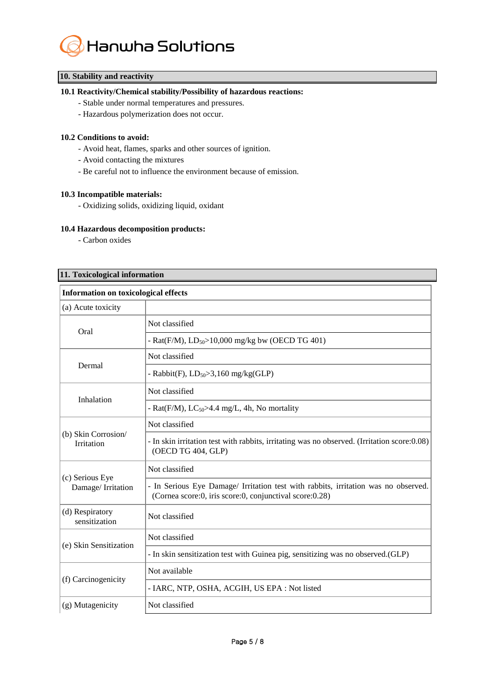

# **10. Stability and reactivity**

# **10.1 Reactivity/Chemical stability/Possibility of hazardous reactions:**

- Stable under normal temperatures and pressures.
- Hazardous polymerization does not occur.

#### **10.2 Conditions to avoid:**

- Avoid heat, flames, sparks and other sources of ignition.
- Avoid contacting the mixtures
- Be careful not to influence the environment because of emission.

# **10.3 Incompatible materials:**

- Oxidizing solids, oxidizing liquid, oxidant

# **10.4 Hazardous decomposition products:**

- Carbon oxides

# **11. Toxicological information**

| <b>Information on toxicological effects</b> |                                                                                                                                               |  |  |  |
|---------------------------------------------|-----------------------------------------------------------------------------------------------------------------------------------------------|--|--|--|
| (a) Acute toxicity                          |                                                                                                                                               |  |  |  |
| Oral                                        | Not classified                                                                                                                                |  |  |  |
|                                             | - Rat(F/M), $LD_{50} > 10,000$ mg/kg bw (OECD TG 401)                                                                                         |  |  |  |
|                                             | Not classified                                                                                                                                |  |  |  |
| Dermal                                      | - Rabbit(F), $LD_{50} > 3,160$ mg/kg(GLP)                                                                                                     |  |  |  |
| Inhalation                                  | Not classified                                                                                                                                |  |  |  |
|                                             | - Rat(F/M), $LC_{50}$ >4.4 mg/L, 4h, No mortality                                                                                             |  |  |  |
|                                             | Not classified                                                                                                                                |  |  |  |
| (b) Skin Corrosion/<br><b>Irritation</b>    | - In skin irritation test with rabbits, irritating was no observed. (Irritation score: 0.08)<br>(OECD TG 404, GLP)                            |  |  |  |
|                                             | Not classified                                                                                                                                |  |  |  |
| (c) Serious Eye<br>Damage/Irritation        | - In Serious Eye Damage/ Irritation test with rabbits, irritation was no observed.<br>(Cornea score:0, iris score:0, conjunctival score:0.28) |  |  |  |
| (d) Respiratory<br>sensitization            | Not classified                                                                                                                                |  |  |  |
| (e) Skin Sensitization                      | Not classified                                                                                                                                |  |  |  |
|                                             | - In skin sensitization test with Guinea pig, sensitizing was no observed. (GLP)                                                              |  |  |  |
|                                             | Not available                                                                                                                                 |  |  |  |
| (f) Carcinogenicity                         | - IARC, NTP, OSHA, ACGIH, US EPA : Not listed                                                                                                 |  |  |  |
| (g) Mutagenicity                            | Not classified                                                                                                                                |  |  |  |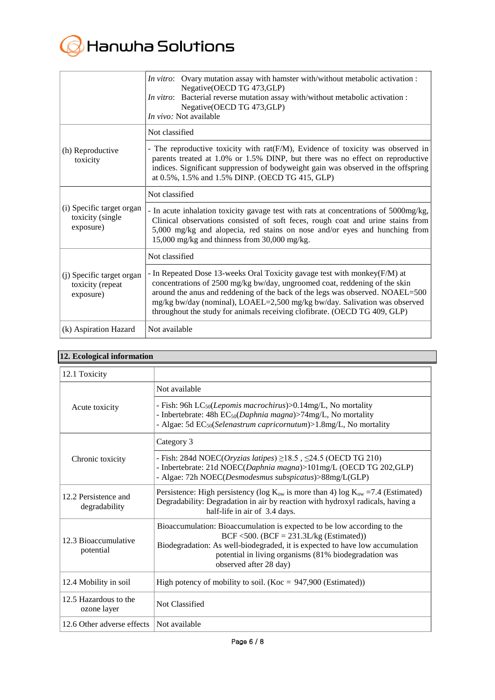

|                                                            | In vitro: Ovary mutation assay with hamster with/without metabolic activation :<br>Negative(OECD TG 473, GLP)<br>In vitro: Bacterial reverse mutation assay with/without metabolic activation :<br>Negative(OECD TG 473, GLP)<br>In vivo: Not available                                                                                                                                            |
|------------------------------------------------------------|----------------------------------------------------------------------------------------------------------------------------------------------------------------------------------------------------------------------------------------------------------------------------------------------------------------------------------------------------------------------------------------------------|
|                                                            | Not classified                                                                                                                                                                                                                                                                                                                                                                                     |
| (h) Reproductive<br>toxicity                               | - The reproductive toxicity with rat(F/M), Evidence of toxicity was observed in<br>parents treated at 1.0% or 1.5% DINP, but there was no effect on reproductive<br>indices. Significant suppression of bodyweight gain was observed in the offspring<br>at 0.5%, 1.5% and 1.5% DINP. (OECD TG 415, GLP)                                                                                           |
|                                                            | Not classified                                                                                                                                                                                                                                                                                                                                                                                     |
| (i) Specific target organ<br>toxicity (single<br>exposure) | - In acute inhalation toxicity gavage test with rats at concentrations of 5000mg/kg,<br>Clinical observations consisted of soft feces, rough coat and urine stains from<br>5,000 mg/kg and alopecia, red stains on nose and/or eyes and hunching from<br>15,000 mg/kg and thinness from 30,000 mg/kg.                                                                                              |
|                                                            | Not classified                                                                                                                                                                                                                                                                                                                                                                                     |
| (j) Specific target organ<br>toxicity (repeat<br>exposure) | - In Repeated Dose 13-weeks Oral Toxicity gavage test with monkey(F/M) at<br>concentrations of 2500 mg/kg bw/day, ungroomed coat, reddening of the skin<br>around the anus and reddening of the back of the legs was observed. NOAEL=500<br>mg/kg bw/day (nominal), LOAEL=2,500 mg/kg bw/day. Salivation was observed<br>throughout the study for animals receiving clofibrate. (OECD TG 409, GLP) |
| (k) Aspiration Hazard                                      | Not available                                                                                                                                                                                                                                                                                                                                                                                      |

|  |  | 12. Ecological information |
|--|--|----------------------------|

| 12.1 Toxicity                         |                                                                                                                                                                                                                                                                                         |
|---------------------------------------|-----------------------------------------------------------------------------------------------------------------------------------------------------------------------------------------------------------------------------------------------------------------------------------------|
|                                       | Not available                                                                                                                                                                                                                                                                           |
| Acute toxicity                        | - Fish: 96h LC <sub>50</sub> ( <i>Lepomis macrochirus</i> )>0.14mg/L, No mortality<br>- Inbertebrate: 48h EC <sub>50</sub> (Daphnia magna)>74mg/L, No mortality<br>- Algae: 5d EC <sub>50</sub> (Selenastrum capricornutum)>1.8mg/L, No mortality                                       |
|                                       | Category 3                                                                                                                                                                                                                                                                              |
| Chronic toxicity                      | - Fish: 284d NOEC(Oryzias latipes) $\geq$ 18.5, $\leq$ 24.5 (OECD TG 210)<br>- Inbertebrate: 21d NOEC(Daphnia magna)>101mg/L (OECD TG 202,GLP)<br>- Algae: 72h NOEC(Desmodesmus subspicatus)>88mg/L(GLP)                                                                                |
| 12.2 Persistence and<br>degradability | Persistence: High persistency (log $K_{ow}$ is more than 4) log $K_{ow}$ =7.4 (Estimated)<br>Degradability: Degradation in air by reaction with hydroxyl radicals, having a<br>half-life in air of 3.4 days.                                                                            |
| 12.3 Bioaccumulative<br>potential     | Bioaccumulation: Bioaccumulation is expected to be low according to the<br>BCF <500. (BCF = $231.3L/kg$ (Estimated))<br>Biodegradation: As well-biodegraded, it is expected to have low accumulation<br>potential in living organisms (81% biodegradation was<br>observed after 28 day) |
| 12.4 Mobility in soil                 | High potency of mobility to soil. (Koc = $947,900$ (Estimated))                                                                                                                                                                                                                         |
| 12.5 Hazardous to the<br>ozone layer  | Not Classified                                                                                                                                                                                                                                                                          |
| 12.6 Other adverse effects            | Not available                                                                                                                                                                                                                                                                           |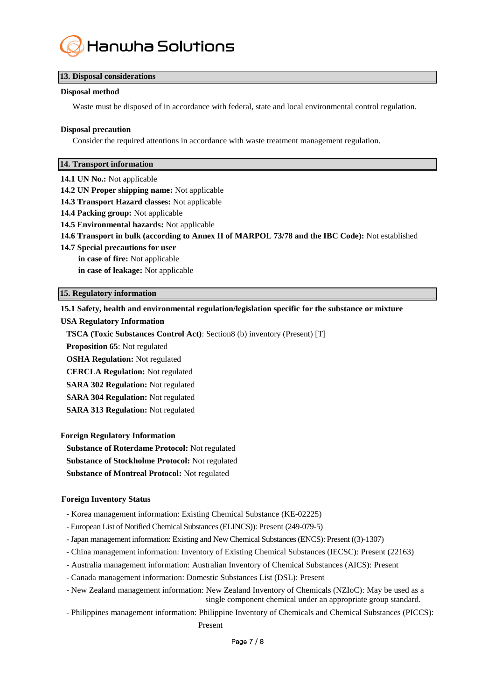

# **13. Disposal considerations**

## **Disposal method**

Waste must be disposed of in accordance with federal, state and local environmental control regulation.

#### **Disposal precaution**

Consider the required attentions in accordance with waste treatment management regulation.

#### **14. Transport information**

- **14.1 UN No.:** Not applicable
- **14.2 UN Proper shipping name:** Not applicable
- **14.3 Transport Hazard classes:** Not applicable
- **14.4 Packing group:** Not applicable
- **14.5 Environmental hazards:** Not applicable
- **14.6 Transport in bulk (according to Annex II of MARPOL 73/78 and the IBC Code):** Not established
- **14.7 Special precautions for user in case of fire:** Not applicable
	- **in case of leakage:** Not applicable

#### **15. Regulatory information**

#### **15.1 Safety, health and environmental regulation/legislation specific for the substance or mixture**

#### **USA Regulatory Information**

**TSCA (Toxic Substances Control Act)**: Section8 (b) inventory (Present) [T]

**Proposition 65**: Not regulated

**OSHA Regulation:** Not regulated

**CERCLA Regulation:** Not regulated

**SARA 302 Regulation:** Not regulated

**SARA 304 Regulation:** Not regulated

**SARA 313 Regulation:** Not regulated

**Foreign Regulatory Information**

**Substance of Roterdame Protocol:** Not regulated

**Substance of Stockholme Protocol:** Not regulated

**Substance of Montreal Protocol:** Not regulated

# **Foreign Inventory Status**

- Korea management information: Existing Chemical Substance (KE-02225)
- European List of Notified Chemical Substances (ELINCS)): Present (249-079-5)
- -Japan management information: Existing and New Chemical Substances (ENCS): Present ((3)-1307)
- China management information: Inventory of Existing Chemical Substances (IECSC): Present (22163)
- Australia management information: Australian Inventory of Chemical Substances (AICS): Present
- Canada management information: Domestic Substances List (DSL): Present
- New Zealand management information: New Zealand Inventory of Chemicals (NZIoC): May be used as a single component chemical under an appropriate group standard.
- Philippines management information: Philippine Inventory of Chemicals and Chemical Substances (PICCS): Present